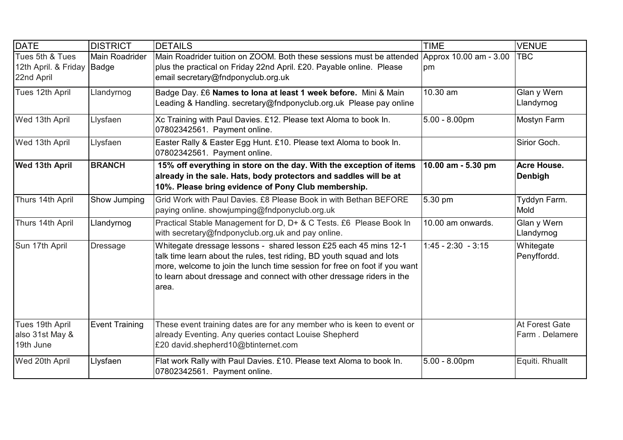| <b>DATE</b>                                                 | <b>DISTRICT</b>       | <b>DETAILS</b>                                                                                                                                                                                                                                                                                            | <b>TIME</b>                  | <b>VENUE</b>                     |
|-------------------------------------------------------------|-----------------------|-----------------------------------------------------------------------------------------------------------------------------------------------------------------------------------------------------------------------------------------------------------------------------------------------------------|------------------------------|----------------------------------|
| Tues 5th & Tues<br>12th April. & Friday Badge<br>22nd April | <b>Main Roadrider</b> | Main Roadrider tuition on ZOOM. Both these sessions must be attended<br>plus the practical on Friday 22nd April. £20. Payable online. Please<br>email secretary@fndponyclub.org.uk                                                                                                                        | Approx 10.00 am - 3.00<br>pm | <b>TBC</b>                       |
| Tues 12th April                                             | Llandyrnog            | Badge Day. £6 Names to lona at least 1 week before. Mini & Main<br>Leading & Handling. secretary@fndponyclub.org.uk Please pay online                                                                                                                                                                     | 10.30 am                     | Glan y Wern<br>Llandyrnog        |
| Wed 13th April                                              | Llysfaen              | Xc Training with Paul Davies. £12. Please text Aloma to book In.<br>07802342561. Payment online.                                                                                                                                                                                                          | $5.00 - 8.00$ pm             | Mostyn Farm                      |
| Wed 13th April                                              | Llysfaen              | Easter Rally & Easter Egg Hunt. £10. Please text Aloma to book In.<br>07802342561. Payment online.                                                                                                                                                                                                        |                              | Sirior Goch.                     |
| <b>Wed 13th April</b>                                       | <b>BRANCH</b>         | 15% off everything in store on the day. With the exception of items<br>already in the sale. Hats, body protectors and saddles will be at<br>10%. Please bring evidence of Pony Club membership.                                                                                                           | 10.00 am - 5.30 pm           | Acre House.<br><b>Denbigh</b>    |
| Thurs 14th April                                            | Show Jumping          | Grid Work with Paul Davies, £8 Please Book in with Bethan BEFORE<br>paying online. showjumping@fndponyclub.org.uk                                                                                                                                                                                         | 5.30 pm                      | Tyddyn Farm.<br>Mold             |
| Thurs 14th April                                            | Llandyrnog            | Practical Stable Management for D, D+ & C Tests. £6 Please Book In<br>with secretary@fndponyclub.org.uk and pay online.                                                                                                                                                                                   | 10.00 am onwards.            | Glan y Wern<br>Llandyrnog        |
| Sun 17th April                                              | <b>Dressage</b>       | Whitegate dressage lessons - shared lesson £25 each 45 mins 12-1<br>talk time learn about the rules, test riding, BD youth squad and lots<br>more, welcome to join the lunch time session for free on foot if you want<br>to learn about dressage and connect with other dressage riders in the<br>larea. | $1:45 - 2:30 - 3:15$         | Whitegate<br>Penyffordd.         |
| Tues 19th April<br>also 31st May &<br>19th June             | <b>Event Training</b> | These event training dates are for any member who is keen to event or<br>already Eventing. Any queries contact Louise Shepherd<br>£20 david.shepherd10@btinternet.com                                                                                                                                     |                              | At Forest Gate<br>Farm. Delamere |
| Wed 20th April                                              | Llysfaen              | Flat work Rally with Paul Davies. £10. Please text Aloma to book In.<br>07802342561. Payment online.                                                                                                                                                                                                      | $5.00 - 8.00$ pm             | Equiti. Rhuallt                  |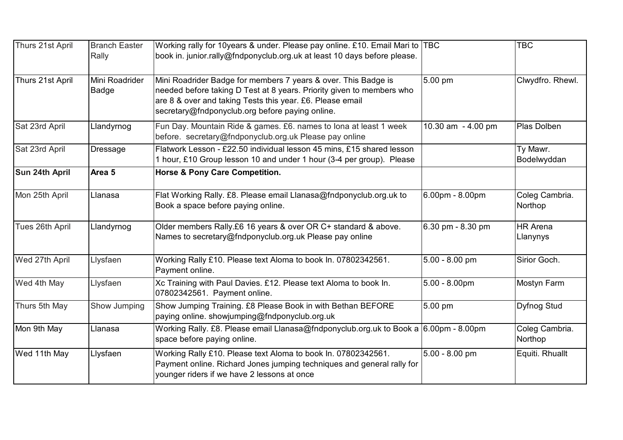| Thurs 21st April | <b>Branch Easter</b><br>Rally | Working rally for 10years & under. Please pay online. £10. Email Mari to TBC<br>book in. junior.rally@fndponyclub.org.uk at least 10 days before please.                                                                                                |                    | <b>TBC</b>                  |
|------------------|-------------------------------|---------------------------------------------------------------------------------------------------------------------------------------------------------------------------------------------------------------------------------------------------------|--------------------|-----------------------------|
| Thurs 21st April | Mini Roadrider<br>Badge       | Mini Roadrider Badge for members 7 years & over. This Badge is<br>needed before taking D Test at 8 years. Priority given to members who<br>are 8 & over and taking Tests this year. £6. Please email<br>secretary@fndponyclub.org before paying online. | 5.00 pm            | Clwydfro. Rhewl.            |
| Sat 23rd April   | Llandyrnog                    | Fun Day. Mountain Ride & games. £6. names to lona at least 1 week<br>before. secretary@fndponyclub.org.uk Please pay online                                                                                                                             | 10.30 am - 4.00 pm | Plas Dolben                 |
| Sat 23rd April   | <b>Dressage</b>               | Flatwork Lesson - £22.50 individual lesson 45 mins, £15 shared lesson<br>1 hour, £10 Group lesson 10 and under 1 hour (3-4 per group). Please                                                                                                           |                    | Ty Mawr.<br>Bodelwyddan     |
| Sun 24th April   | Area <sub>5</sub>             | <b>Horse &amp; Pony Care Competition.</b>                                                                                                                                                                                                               |                    |                             |
| Mon 25th April   | Llanasa                       | Flat Working Rally. £8. Please email Llanasa@fndponyclub.org.uk to<br>Book a space before paying online.                                                                                                                                                | 6.00pm - 8.00pm    | Coleg Cambria.<br>Northop   |
| Tues 26th April  | Llandyrnog                    | Older members Rally.£6 16 years & over OR C+ standard & above.<br>Names to secretary@fndponyclub.org.uk Please pay online                                                                                                                               | 6.30 pm - 8.30 pm  | <b>HR</b> Arena<br>Llanynys |
| Wed 27th April   | Llysfaen                      | Working Rally £10. Please text Aloma to book In. 07802342561.<br>Payment online.                                                                                                                                                                        | 5.00 - 8.00 pm     | Sirior Goch.                |
| Wed 4th May      | Llysfaen                      | Xc Training with Paul Davies. £12. Please text Aloma to book In.<br>07802342561. Payment online.                                                                                                                                                        | $5.00 - 8.00$ pm   | <b>Mostyn Farm</b>          |
| Thurs 5th May    | Show Jumping                  | Show Jumping Training. £8 Please Book in with Bethan BEFORE<br>paying online. showjumping@fndponyclub.org.uk                                                                                                                                            | 5.00 pm            | <b>Dyfnog Stud</b>          |
| Mon 9th May      | Llanasa                       | Working Rally. £8. Please email Llanasa@fndponyclub.org.uk to Book a 6.00pm - 8.00pm<br>space before paying online.                                                                                                                                     |                    | Coleg Cambria.<br>Northop   |
| Wed 11th May     | Llysfaen                      | Working Rally £10. Please text Aloma to book In. 07802342561.<br>Payment online. Richard Jones jumping techniques and general rally for<br>younger riders if we have 2 lessons at once                                                                  | 5.00 - 8.00 pm     | Equiti. Rhuallt             |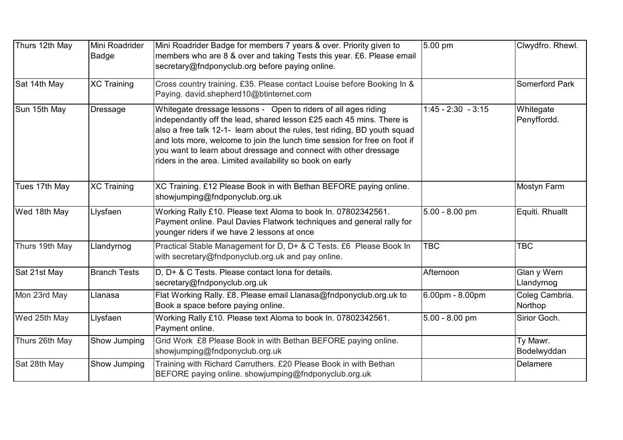| Thurs 12th May | Mini Roadrider<br><b>Badge</b> | Mini Roadrider Badge for members 7 years & over. Priority given to<br>members who are 8 & over and taking Tests this year. £6. Please email<br>secretary@fndponyclub.org before paying online.                                                                                                                                                                                                                                    | 5.00 pm              | Clwydfro. Rhewl.          |
|----------------|--------------------------------|-----------------------------------------------------------------------------------------------------------------------------------------------------------------------------------------------------------------------------------------------------------------------------------------------------------------------------------------------------------------------------------------------------------------------------------|----------------------|---------------------------|
| Sat 14th May   | <b>XC Training</b>             | Cross country training. £35. Please contact Louise before Booking In &<br>Paying. david.shepherd10@btinternet.com                                                                                                                                                                                                                                                                                                                 |                      | <b>Somerford Park</b>     |
| Sun 15th May   | <b>Dressage</b>                | Whitegate dressage lessons - Open to riders of all ages riding<br>independantly off the lead, shared lesson £25 each 45 mins. There is<br>also a free talk 12-1- learn about the rules, test riding, BD youth squad<br>and lots more, welcome to join the lunch time session for free on foot if<br>you want to learn about dressage and connect with other dressage<br>riders in the area. Limited availability so book on early | $1:45 - 2:30 - 3:15$ | Whitegate<br>Penyffordd.  |
| Tues 17th May  | XC Training                    | XC Training. £12 Please Book in with Bethan BEFORE paying online.<br>showjumping@fndponyclub.org.uk                                                                                                                                                                                                                                                                                                                               |                      | <b>Mostyn Farm</b>        |
| Wed 18th May   | Llysfaen                       | Working Rally £10. Please text Aloma to book In. 07802342561.<br>Payment online. Paul Davies Flatwork techniques and general rally for<br>younger riders if we have 2 lessons at once                                                                                                                                                                                                                                             | $5.00 - 8.00$ pm     | Equiti. Rhuallt           |
| Thurs 19th May | Llandyrnog                     | Practical Stable Management for D, D+ & C Tests. £6 Please Book In<br>with secretary@fndponyclub.org.uk and pay online.                                                                                                                                                                                                                                                                                                           | <b>TBC</b>           | <b>TBC</b>                |
| Sat 21st May   | <b>Branch Tests</b>            | D, D+ & C Tests. Please contact lona for details.<br>secretary@fndponyclub.org.uk                                                                                                                                                                                                                                                                                                                                                 | Afternoon            | Glan y Wern<br>Llandyrnog |
| Mon 23rd May   | Llanasa                        | Flat Working Rally. £8. Please email Llanasa@fndponyclub.org.uk to<br>Book a space before paying online.                                                                                                                                                                                                                                                                                                                          | 6.00pm - 8.00pm      | Coleg Cambria.<br>Northop |
| Wed 25th May   | Llysfaen                       | Working Rally £10. Please text Aloma to book In. 07802342561.<br>Payment online.                                                                                                                                                                                                                                                                                                                                                  | $5.00 - 8.00$ pm     | Sirior Goch.              |
| Thurs 26th May | Show Jumping                   | Grid Work £8 Please Book in with Bethan BEFORE paying online.<br>showjumping@fndponyclub.org.uk                                                                                                                                                                                                                                                                                                                                   |                      | Ty Mawr.<br>Bodelwyddan   |
| Sat 28th May   | Show Jumping                   | Training with Richard Carruthers. £20 Please Book in with Bethan<br>BEFORE paying online. showjumping@fndponyclub.org.uk                                                                                                                                                                                                                                                                                                          |                      | Delamere                  |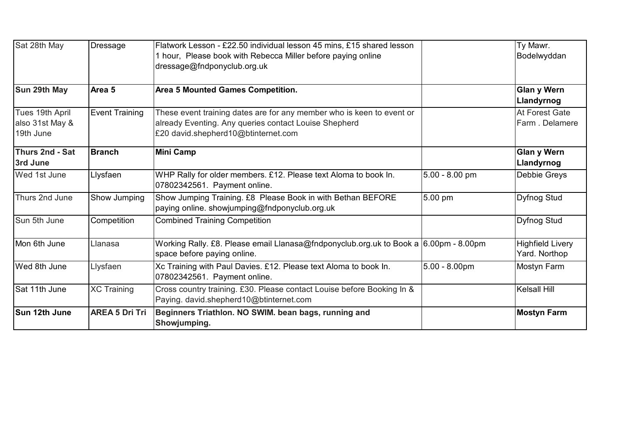| Sat 28th May                                    | <b>Dressage</b>       | Flatwork Lesson - £22.50 individual lesson 45 mins, £15 shared lesson<br>hour, Please book with Rebecca Miller before paying online<br>dressage@fndponyclub.org.uk    |                  | Ty Mawr.<br>Bodelwyddan                  |
|-------------------------------------------------|-----------------------|-----------------------------------------------------------------------------------------------------------------------------------------------------------------------|------------------|------------------------------------------|
| Sun 29th May                                    | Area <sub>5</sub>     | <b>Area 5 Mounted Games Competition.</b>                                                                                                                              |                  | <b>Glan y Wern</b><br>Llandyrnog         |
| Tues 19th April<br>also 31st May &<br>19th June | <b>Event Training</b> | These event training dates are for any member who is keen to event or<br>already Eventing. Any queries contact Louise Shepherd<br>£20 david.shepherd10@btinternet.com |                  | <b>At Forest Gate</b><br>Farm. Delamere  |
| Thurs 2nd - Sat<br>3rd June                     | <b>Branch</b>         | <b>Mini Camp</b>                                                                                                                                                      |                  | <b>Glan y Wern</b><br>Llandyrnog         |
| Wed 1st June                                    | Llysfaen              | WHP Rally for older members. £12. Please text Aloma to book In.<br>07802342561. Payment online.                                                                       | $5.00 - 8.00$ pm | Debbie Greys                             |
| Thurs 2nd June                                  | Show Jumping          | Show Jumping Training. £8 Please Book in with Bethan BEFORE<br>paying online. showjumping@fndponyclub.org.uk                                                          | 5.00 pm          | <b>Dyfnog Stud</b>                       |
| Sun 5th June                                    | Competition           | <b>Combined Training Competition</b>                                                                                                                                  |                  | <b>Dyfnog Stud</b>                       |
| Mon 6th June                                    | Llanasa               | Working Rally. £8. Please email Llanasa@fndponyclub.org.uk to Book a 6.00pm - 8.00pm<br>space before paying online.                                                   |                  | <b>Highfield Livery</b><br>Yard. Northop |
| Wed 8th June                                    | Llysfaen              | Xc Training with Paul Davies. £12. Please text Aloma to book In.<br>07802342561. Payment online.                                                                      | $5.00 - 8.00$ pm | Mostyn Farm                              |
| Sat 11th June                                   | <b>XC Training</b>    | Cross country training. £30. Please contact Louise before Booking In &<br>Paying. david.shepherd10@btinternet.com                                                     |                  | <b>Kelsall Hill</b>                      |
| Sun 12th June                                   | <b>AREA 5 Dri Tri</b> | Beginners Triathlon. NO SWIM. bean bags, running and<br>Showjumping.                                                                                                  |                  | <b>Mostyn Farm</b>                       |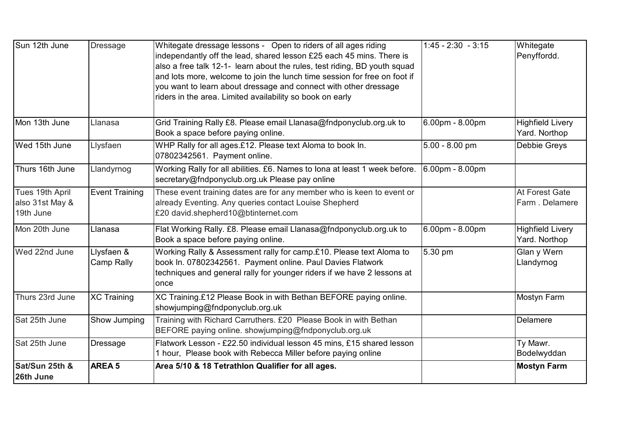| Sun 12th June                                   | <b>Dressage</b>          | Whitegate dressage lessons - Open to riders of all ages riding<br>independantly off the lead, shared lesson £25 each 45 mins. There is<br>also a free talk 12-1- learn about the rules, test riding, BD youth squad<br>and lots more, welcome to join the lunch time session for free on foot if<br>you want to learn about dressage and connect with other dressage<br>riders in the area. Limited availability so book on early | $1:45 - 2:30 - 3:15$ | Whitegate<br>Penyffordd.                 |
|-------------------------------------------------|--------------------------|-----------------------------------------------------------------------------------------------------------------------------------------------------------------------------------------------------------------------------------------------------------------------------------------------------------------------------------------------------------------------------------------------------------------------------------|----------------------|------------------------------------------|
| Mon 13th June                                   | Llanasa                  | Grid Training Rally £8. Please email Llanasa@fndponyclub.org.uk to<br>Book a space before paying online.                                                                                                                                                                                                                                                                                                                          | 6.00pm - 8.00pm      | <b>Highfield Livery</b><br>Yard. Northop |
| Wed 15th June                                   | Llysfaen                 | WHP Rally for all ages.£12. Please text Aloma to book In.<br>07802342561. Payment online.                                                                                                                                                                                                                                                                                                                                         | $5.00 - 8.00$ pm     | <b>Debbie Greys</b>                      |
| Thurs 16th June                                 | Llandyrnog               | Working Rally for all abilities. £6. Names to lona at least 1 week before.<br>secretary@fndponyclub.org.uk Please pay online                                                                                                                                                                                                                                                                                                      | 6.00pm - 8.00pm      |                                          |
| Tues 19th April<br>also 31st May &<br>19th June | <b>Event Training</b>    | These event training dates are for any member who is keen to event or<br>already Eventing. Any queries contact Louise Shepherd<br>£20 david.shepherd10@btinternet.com                                                                                                                                                                                                                                                             |                      | At Forest Gate<br>Farm. Delamere         |
| Mon 20th June                                   | Llanasa                  | Flat Working Rally. £8. Please email Llanasa@fndponyclub.org.uk to<br>Book a space before paying online.                                                                                                                                                                                                                                                                                                                          | 6.00pm - 8.00pm      | <b>Highfield Livery</b><br>Yard. Northop |
| Wed 22nd June                                   | Llysfaen &<br>Camp Rally | Working Rally & Assessment rally for camp.£10. Please text Aloma to<br>book In. 07802342561. Payment online. Paul Davies Flatwork<br>techniques and general rally for younger riders if we have 2 lessons at<br>once                                                                                                                                                                                                              | 5.30 pm              | Glan y Wern<br>Llandyrnog                |
| Thurs 23rd June                                 | <b>XC Training</b>       | XC Training.£12 Please Book in with Bethan BEFORE paying online.<br>showjumping@fndponyclub.org.uk                                                                                                                                                                                                                                                                                                                                |                      | <b>Mostyn Farm</b>                       |
| Sat 25th June                                   | Show Jumping             | Training with Richard Carruthers. £20 Please Book in with Bethan<br>BEFORE paying online. showjumping@fndponyclub.org.uk                                                                                                                                                                                                                                                                                                          |                      | Delamere                                 |
| Sat 25th June                                   | <b>Dressage</b>          | Flatwork Lesson - £22.50 individual lesson 45 mins, £15 shared lesson<br>1 hour, Please book with Rebecca Miller before paying online                                                                                                                                                                                                                                                                                             |                      | Ty Mawr.<br>Bodelwyddan                  |
| Sat/Sun 25th &<br>26th June                     | <b>AREA 5</b>            | Area 5/10 & 18 Tetrathlon Qualifier for all ages.                                                                                                                                                                                                                                                                                                                                                                                 |                      | <b>Mostyn Farm</b>                       |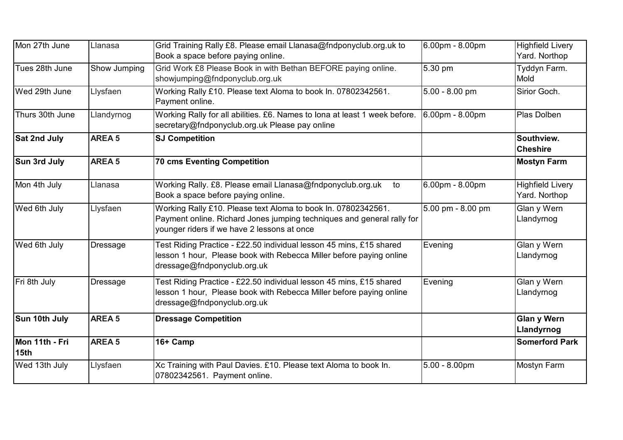| Mon 27th June          | Llanasa           | Grid Training Rally £8. Please email Llanasa@fndponyclub.org.uk to<br>Book a space before paying online.                                                                               | 6.00pm - 8.00pm   | <b>Highfield Livery</b><br>Yard. Northop |
|------------------------|-------------------|----------------------------------------------------------------------------------------------------------------------------------------------------------------------------------------|-------------------|------------------------------------------|
| Tues 28th June         | Show Jumping      | Grid Work £8 Please Book in with Bethan BEFORE paying online.<br>showjumping@fndponyclub.org.uk                                                                                        | 5.30 pm           | Tyddyn Farm.<br>Mold                     |
| Wed 29th June          | Llysfaen          | Working Rally £10. Please text Aloma to book In. 07802342561.<br>Payment online.                                                                                                       | $5.00 - 8.00$ pm  | Sirior Goch.                             |
| Thurs 30th June        | Llandyrnog        | Working Rally for all abilities. £6. Names to lona at least 1 week before.<br>secretary@fndponyclub.org.uk Please pay online                                                           | 6.00pm - 8.00pm   | Plas Dolben                              |
| Sat 2nd July           | <b>AREA 5</b>     | <b>SJ Competition</b>                                                                                                                                                                  |                   | Southview.<br><b>Cheshire</b>            |
| Sun 3rd July           | <b>AREA 5</b>     | <b>70 cms Eventing Competition</b>                                                                                                                                                     |                   | <b>Mostyn Farm</b>                       |
| Mon 4th July           | Llanasa           | Working Rally. £8. Please email Llanasa@fndponyclub.org.uk<br>to<br>Book a space before paying online.                                                                                 | 6.00pm - 8.00pm   | <b>Highfield Livery</b><br>Yard. Northop |
| Wed 6th July           | Llysfaen          | Working Rally £10. Please text Aloma to book In. 07802342561.<br>Payment online. Richard Jones jumping techniques and general rally for<br>younger riders if we have 2 lessons at once | 5.00 pm - 8.00 pm | Glan y Wern<br>Llandyrnog                |
| Wed 6th July           | <b>Dressage</b>   | Test Riding Practice - £22.50 individual lesson 45 mins, £15 shared<br>lesson 1 hour, Please book with Rebecca Miller before paying online<br>dressage@fndponyclub.org.uk              | Evening           | Glan y Wern<br>Llandyrnog                |
| Fri 8th July           | <b>Dressage</b>   | Test Riding Practice - £22.50 individual lesson 45 mins, £15 shared<br>lesson 1 hour, Please book with Rebecca Miller before paying online<br>dressage@fndponyclub.org.uk              | Evening           | Glan y Wern<br>Llandyrnog                |
| Sun 10th July          | AREA <sub>5</sub> | <b>Dressage Competition</b>                                                                                                                                                            |                   | <b>Glan y Wern</b><br>Llandyrnog         |
| Mon 11th - Fri<br>15th | <b>AREA 5</b>     | 16+ Camp                                                                                                                                                                               |                   | <b>Somerford Park</b>                    |
| Wed 13th July          | Llysfaen          | Xc Training with Paul Davies. £10. Please text Aloma to book In.<br>07802342561. Payment online.                                                                                       | $5.00 - 8.00$ pm  | <b>Mostyn Farm</b>                       |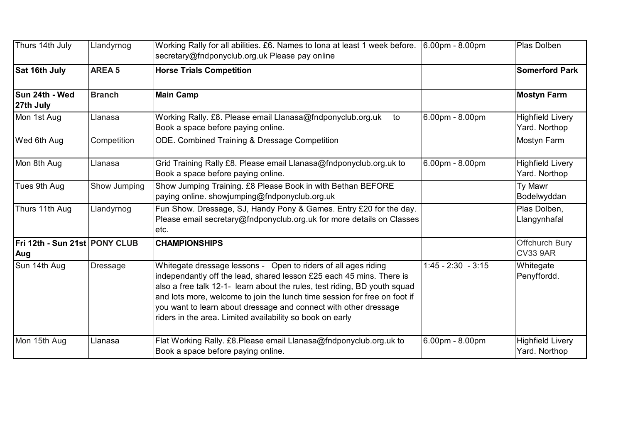| Thurs 14th July                      | Llandyrnog    | Working Rally for all abilities. £6. Names to lona at least 1 week before. $ 6.00$ pm - 8.00pm<br>secretary@fndponyclub.org.uk Please pay online                                                                                                                                                                                                                                                                                  |                      | Plas Dolben                              |
|--------------------------------------|---------------|-----------------------------------------------------------------------------------------------------------------------------------------------------------------------------------------------------------------------------------------------------------------------------------------------------------------------------------------------------------------------------------------------------------------------------------|----------------------|------------------------------------------|
| Sat 16th July                        | <b>AREA 5</b> | <b>Horse Trials Competition</b>                                                                                                                                                                                                                                                                                                                                                                                                   |                      | <b>Somerford Park</b>                    |
| Sun 24th - Wed<br>27th July          | <b>Branch</b> | <b>Main Camp</b>                                                                                                                                                                                                                                                                                                                                                                                                                  |                      | <b>Mostyn Farm</b>                       |
| Mon 1st Aug                          | Llanasa       | Working Rally. £8. Please email Llanasa@fndponyclub.org.uk<br>to<br>Book a space before paying online.                                                                                                                                                                                                                                                                                                                            | 6.00pm - 8.00pm      | <b>Highfield Livery</b><br>Yard. Northop |
| Wed 6th Aug                          | Competition   | ODE. Combined Training & Dressage Competition                                                                                                                                                                                                                                                                                                                                                                                     |                      | Mostyn Farm                              |
| Mon 8th Aug                          | Llanasa       | Grid Training Rally £8. Please email Llanasa@fndponyclub.org.uk to<br>Book a space before paying online.                                                                                                                                                                                                                                                                                                                          | 6.00pm - 8.00pm      | <b>Highfield Livery</b><br>Yard. Northop |
| Tues 9th Aug                         | Show Jumping  | Show Jumping Training. £8 Please Book in with Bethan BEFORE<br>paying online. showjumping@fndponyclub.org.uk                                                                                                                                                                                                                                                                                                                      |                      | Ty Mawr<br>Bodelwyddan                   |
| Thurs 11th Aug                       | Llandyrnog    | Fun Show. Dressage, SJ, Handy Pony & Games. Entry £20 for the day.<br>Please email secretary@fndponyclub.org.uk for more details on Classes<br>letc.                                                                                                                                                                                                                                                                              |                      | Plas Dolben,<br>Llangynhafal             |
| Fri 12th - Sun 21st PONY CLUB<br>Aug |               | <b>CHAMPIONSHIPS</b>                                                                                                                                                                                                                                                                                                                                                                                                              |                      | Offchurch Bury<br><b>CV33 9AR</b>        |
| Sun 14th Aug                         | Dressage      | Whitegate dressage lessons - Open to riders of all ages riding<br>independantly off the lead, shared lesson £25 each 45 mins. There is<br>also a free talk 12-1- learn about the rules, test riding, BD youth squad<br>and lots more, welcome to join the lunch time session for free on foot if<br>you want to learn about dressage and connect with other dressage<br>riders in the area. Limited availability so book on early | $1:45 - 2:30 - 3:15$ | Whitegate<br>Penyffordd.                 |
| Mon 15th Aug                         | Llanasa       | Flat Working Rally. £8.Please email Llanasa@fndponyclub.org.uk to<br>Book a space before paying online.                                                                                                                                                                                                                                                                                                                           | 6.00pm - 8.00pm      | <b>Highfield Livery</b><br>Yard. Northop |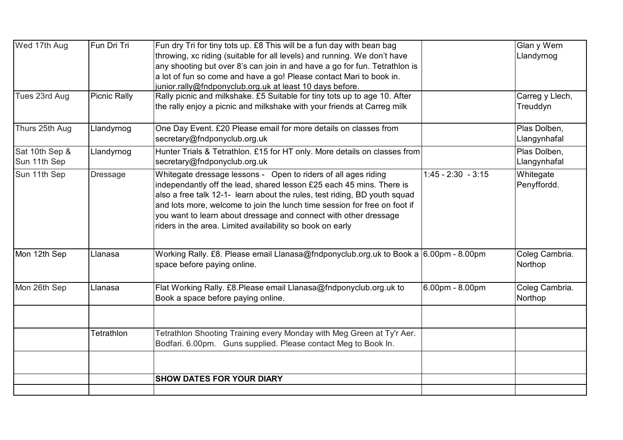| Wed 17th Aug   | Fun Dri Tri         | Fun dry Tri for tiny tots up. £8 This will be a fun day with bean bag                                                                                                                                                                                                                                                                                                                                                             |                      | Glan y Wern               |
|----------------|---------------------|-----------------------------------------------------------------------------------------------------------------------------------------------------------------------------------------------------------------------------------------------------------------------------------------------------------------------------------------------------------------------------------------------------------------------------------|----------------------|---------------------------|
|                |                     | throwing, xc riding (suitable for all levels) and running. We don't have                                                                                                                                                                                                                                                                                                                                                          |                      | Llandyrnog                |
|                |                     | any shooting but over 8's can join in and have a go for fun. Tetrathlon is                                                                                                                                                                                                                                                                                                                                                        |                      |                           |
|                |                     | a lot of fun so come and have a go! Please contact Mari to book in.                                                                                                                                                                                                                                                                                                                                                               |                      |                           |
|                |                     | junior.rally@fndponyclub.org.uk at least 10 days before.                                                                                                                                                                                                                                                                                                                                                                          |                      |                           |
| Tues 23rd Aug  | <b>Picnic Rally</b> | Rally picnic and milkshake. £5 Suitable for tiny tots up to age 10. After                                                                                                                                                                                                                                                                                                                                                         |                      | Carreg y Llech,           |
|                |                     | the rally enjoy a picnic and milkshake with your friends at Carreg milk                                                                                                                                                                                                                                                                                                                                                           |                      | Treuddyn                  |
| Thurs 25th Aug | Llandyrnog          | One Day Event. £20 Please email for more details on classes from                                                                                                                                                                                                                                                                                                                                                                  |                      | Plas Dolben,              |
|                |                     | secretary@fndponyclub.org.uk                                                                                                                                                                                                                                                                                                                                                                                                      |                      | Llangynhafal              |
| Sat 10th Sep & | Llandyrnog          | Hunter Trials & Tetrathlon. £15 for HT only. More details on classes from                                                                                                                                                                                                                                                                                                                                                         |                      | Plas Dolben,              |
| Sun 11th Sep   |                     | secretary@fndponyclub.org.uk                                                                                                                                                                                                                                                                                                                                                                                                      |                      | Llangynhafal              |
| Sun 11th Sep   | <b>Dressage</b>     | Whitegate dressage lessons - Open to riders of all ages riding<br>independantly off the lead, shared lesson £25 each 45 mins. There is<br>also a free talk 12-1- learn about the rules, test riding, BD youth squad<br>and lots more, welcome to join the lunch time session for free on foot if<br>you want to learn about dressage and connect with other dressage<br>riders in the area. Limited availability so book on early | $1:45 - 2:30 - 3:15$ | Whitegate<br>Penyffordd.  |
| Mon 12th Sep   | Llanasa             | Working Rally. £8. Please email Llanasa@fndponyclub.org.uk to Book a $6.00$ pm - 8.00pm<br>space before paying online.                                                                                                                                                                                                                                                                                                            |                      | Coleg Cambria.<br>Northop |
| Mon 26th Sep   | Llanasa             | Flat Working Rally. £8. Please email Llanasa@fndponyclub.org.uk to<br>Book a space before paying online.                                                                                                                                                                                                                                                                                                                          | 6.00pm - 8.00pm      | Coleg Cambria.<br>Northop |
|                | Tetrathlon          | Tetrathlon Shooting Training every Monday with Meg Green at Ty'r Aer.                                                                                                                                                                                                                                                                                                                                                             |                      |                           |
|                |                     | Bodfari. 6.00pm. Guns supplied. Please contact Meg to Book In.                                                                                                                                                                                                                                                                                                                                                                    |                      |                           |
|                |                     |                                                                                                                                                                                                                                                                                                                                                                                                                                   |                      |                           |
|                |                     | <b>SHOW DATES FOR YOUR DIARY</b>                                                                                                                                                                                                                                                                                                                                                                                                  |                      |                           |
|                |                     |                                                                                                                                                                                                                                                                                                                                                                                                                                   |                      |                           |